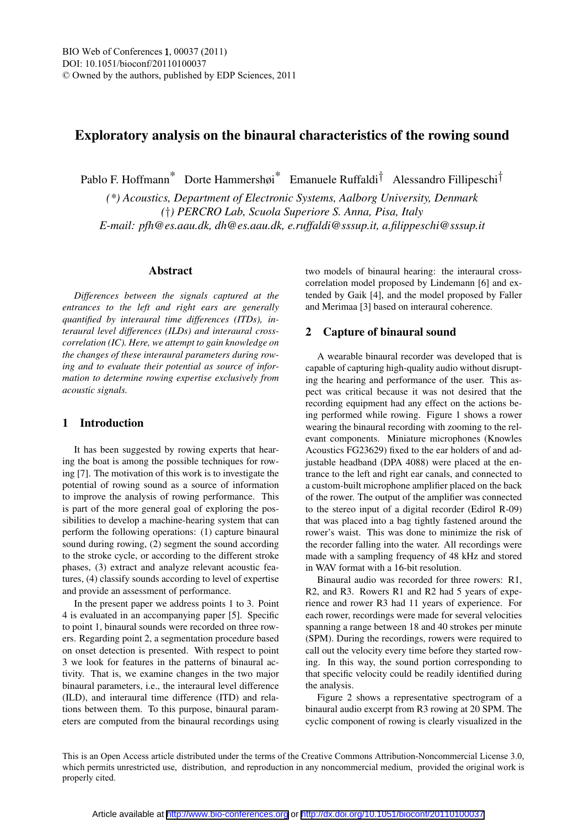# Exploratory analysis on the binaural characteristics of the rowing sound

Pablo F. Hoffmann<sup>\*</sup> Dorte Hammershøi<sup>\*</sup> Emanuele Ruffaldi<sup>†</sup> Alessandro Fillipeschi<sup>†</sup>

*(\*) Acoustics, Department of Electronic Systems, Aalborg University, Denmark (*†*) PERCRO Lab, Scuola Superiore S. Anna, Pisa, Italy E-mail: pfh@es.aau.dk, dh@es.aau.dk, e.ruffaldi@sssup.it, a.filippeschi@sssup.it*

#### Abstract

*Differences between the signals captured at the entrances to the left and right ears are generally quantified by interaural time differences (ITDs), interaural level differences (ILDs) and interaural crosscorrelation (IC). Here, we attempt to gain knowledge on the changes of these interaural parameters during rowing and to evaluate their potential as source of information to determine rowing expertise exclusively from acoustic signals.*

### 1 Introduction

It has been suggested by rowing experts that hearing the boat is among the possible techniques for rowing [7]. The motivation of this work is to investigate the potential of rowing sound as a source of information to improve the analysis of rowing performance. This is part of the more general goal of exploring the possibilities to develop a machine-hearing system that can perform the following operations: (1) capture binaural sound during rowing, (2) segment the sound according to the stroke cycle, or according to the different stroke phases, (3) extract and analyze relevant acoustic features, (4) classify sounds according to level of expertise and provide an assessment of performance.

In the present paper we address points 1 to 3. Point 4 is evaluated in an accompanying paper [5]. Specific to point 1, binaural sounds were recorded on three rowers. Regarding point 2, a segmentation procedure based on onset detection is presented. With respect to point 3 we look for features in the patterns of binaural activity. That is, we examine changes in the two major binaural parameters, i.e., the interaural level difference (ILD), and interaural time difference (ITD) and relations between them. To this purpose, binaural parameters are computed from the binaural recordings using two models of binaural hearing: the interaural crosscorrelation model proposed by Lindemann [6] and extended by Gaik [4], and the model proposed by Faller and Merimaa [3] based on interaural coherence.

### 2 Capture of binaural sound

A wearable binaural recorder was developed that is capable of capturing high-quality audio without disrupting the hearing and performance of the user. This aspect was critical because it was not desired that the recording equipment had any effect on the actions being performed while rowing. Figure 1 shows a rower wearing the binaural recording with zooming to the relevant components. Miniature microphones (Knowles Acoustics FG23629) fixed to the ear holders of and adjustable headband (DPA 4088) were placed at the entrance to the left and right ear canals, and connected to a custom-built microphone amplifier placed on the back of the rower. The output of the amplifier was connected to the stereo input of a digital recorder (Edirol R-09) that was placed into a bag tightly fastened around the rower's waist. This was done to minimize the risk of the recorder falling into the water. All recordings were made with a sampling frequency of 48 kHz and stored in WAV format with a 16-bit resolution.

Binaural audio was recorded for three rowers: R1, R2, and R3. Rowers R1 and R2 had 5 years of experience and rower R3 had 11 years of experience. For each rower, recordings were made for several velocities spanning a range between 18 and 40 strokes per minute (SPM). During the recordings, rowers were required to call out the velocity every time before they started rowing. In this way, the sound portion corresponding to that specific velocity could be readily identified during the analysis.

Figure 2 shows a representative spectrogram of a binaural audio excerpt from R3 rowing at 20 SPM. The cyclic component of rowing is clearly visualized in the

This is an Open Access article distributed under the terms of the Creative Commons Attribution-Noncommercial License 3.0, which permits unrestricted use, distribution, and reproduction in any noncommercial medium, provided the original work is properly cited.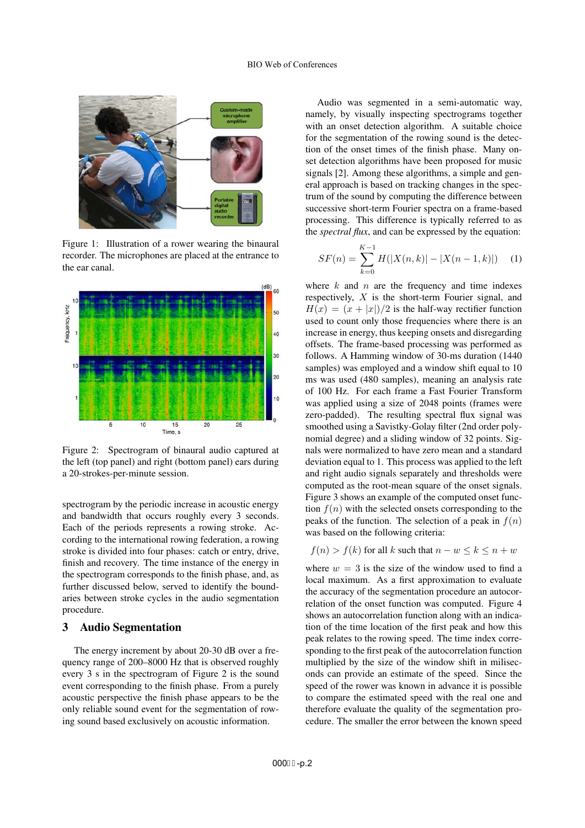

Figure 1: Illustration of a rower wearing the binaural recorder. The microphones are placed at the entrance to the ear canal.



Figure 2: Spectrogram of binaural audio captured at the left (top panel) and right (bottom panel) ears during a 20-strokes-per-minute session.

spectrogram by the periodic increase in acoustic energy and bandwidth that occurs roughly every 3 seconds. Each of the periods represents a rowing stroke. According to the international rowing federation, a rowing stroke is divided into four phases: catch or entry, drive, finish and recovery. The time instance of the energy in the spectrogram corresponds to the finish phase, and, as further discussed below, served to identify the boundaries between stroke cycles in the audio segmentation procedure.

#### 3 Audio Segmentation

The energy increment by about 20-30 dB over a frequency range of 200–8000 Hz that is observed roughly every 3 s in the spectrogram of Figure 2 is the sound event corresponding to the finish phase. From a purely acoustic perspective the finish phase appears to be the only reliable sound event for the segmentation of rowing sound based exclusively on acoustic information.

Audio was segmented in a semi-automatic way, namely, by visually inspecting spectrograms together with an onset detection algorithm. A suitable choice for the segmentation of the rowing sound is the detection of the onset times of the finish phase. Many onset detection algorithms have been proposed for music signals [2]. Among these algorithms, a simple and general approach is based on tracking changes in the spectrum of the sound by computing the difference between successive short-term Fourier spectra on a frame-based processing. This difference is typically referred to as the *spectral flux*, and can be expressed by the equation:

$$
SF(n) = \sum_{k=0}^{K-1} H(|X(n,k)| - |X(n-1,k)|)
$$
 (1)

where  $k$  and  $n$  are the frequency and time indexes respectively, X is the short-term Fourier signal, and  $H(x)=(x + |x|)/2$  is the half-way rectifier function used to count only those frequencies where there is an increase in energy, thus keeping onsets and disregarding offsets. The frame-based processing was performed as follows. A Hamming window of 30-ms duration (1440 samples) was employed and a window shift equal to 10 ms was used (480 samples), meaning an analysis rate of 100 Hz. For each frame a Fast Fourier Transform was applied using a size of 2048 points (frames were zero-padded). The resulting spectral flux signal was smoothed using a Savistky-Golay filter (2nd order polynomial degree) and a sliding window of 32 points. Signals were normalized to have zero mean and a standard deviation equal to 1. This process was applied to the left and right audio signals separately and thresholds were computed as the root-mean square of the onset signals. Figure 3 shows an example of the computed onset function  $f(n)$  with the selected onsets corresponding to the peaks of the function. The selection of a peak in  $f(n)$ was based on the following criteria:

$$
f(n) > f(k)
$$
 for all k such that  $n - w \le k \le n + w$ 

where  $w = 3$  is the size of the window used to find a local maximum. As a first approximation to evaluate the accuracy of the segmentation procedure an autocorrelation of the onset function was computed. Figure 4 shows an autocorrelation function along with an indication of the time location of the first peak and how this peak relates to the rowing speed. The time index corresponding to the first peak of the autocorrelation function multiplied by the size of the window shift in miliseconds can provide an estimate of the speed. Since the speed of the rower was known in advance it is possible to compare the estimated speed with the real one and therefore evaluate the quality of the segmentation procedure. The smaller the error between the known speed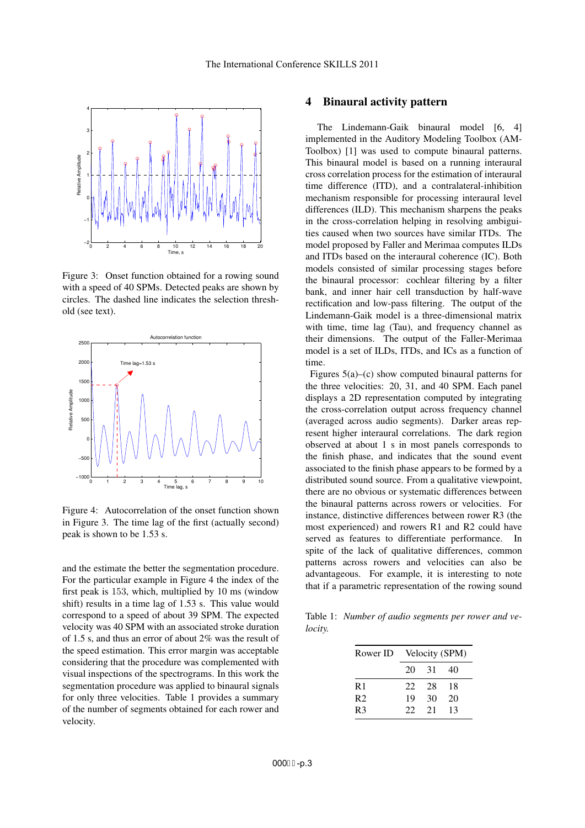

Figure 3: Onset function obtained for a rowing sound with a speed of 40 SPMs. Detected peaks are shown by circles. The dashed line indicates the selection threshold (see text).



Figure 4: Autocorrelation of the onset function shown in Figure 3. The time lag of the first (actually second) peak is shown to be 1.53 s.

and the estimate the better the segmentation procedure. For the particular example in Figure 4 the index of the first peak is 153, which, multiplied by 10 ms (window shift) results in a time lag of 1.53 s. This value would correspond to a speed of about 39 SPM. The expected velocity was 40 SPM with an associated stroke duration of 1.5 s, and thus an error of about 2% was the result of the speed estimation. This error margin was acceptable considering that the procedure was complemented with visual inspections of the spectrograms. In this work the segmentation procedure was applied to binaural signals for only three velocities. Table 1 provides a summary of the number of segments obtained for each rower and velocity.

## 4 Binaural activity pattern

The Lindemann-Gaik binaural model [6, 4] implemented in the Auditory Modeling Toolbox (AM-Toolbox) [1] was used to compute binaural patterns. This binaural model is based on a running interaural cross correlation process for the estimation of interaural time difference (ITD), and a contralateral-inhibition mechanism responsible for processing interaural level differences (ILD). This mechanism sharpens the peaks in the cross-correlation helping in resolving ambiguities caused when two sources have similar ITDs. The model proposed by Faller and Merimaa computes ILDs and ITDs based on the interaural coherence (IC). Both models consisted of similar processing stages before the binaural processor: cochlear filtering by a filter bank, and inner hair cell transduction by half-wave rectification and low-pass filtering. The output of the Lindemann-Gaik model is a three-dimensional matrix with time, time lag (Tau), and frequency channel as their dimensions. The output of the Faller-Merimaa model is a set of ILDs, ITDs, and ICs as a function of time.

Figures 5(a)–(c) show computed binaural patterns for the three velocities: 20, 31, and 40 SPM. Each panel displays a 2D representation computed by integrating the cross-correlation output across frequency channel (averaged across audio segments). Darker areas represent higher interaural correlations. The dark region observed at about 1 s in most panels corresponds to the finish phase, and indicates that the sound event associated to the finish phase appears to be formed by a distributed sound source. From a qualitative viewpoint, there are no obvious or systematic differences between the binaural patterns across rowers or velocities. For instance, distinctive differences between rower R3 (the most experienced) and rowers R1 and R2 could have served as features to differentiate performance. In spite of the lack of qualitative differences, common patterns across rowers and velocities can also be advantageous. For example, it is interesting to note that if a parametric representation of the rowing sound

Table 1: *Number of audio segments per rower and velocity.*

| Velocity (SPM) |     |    |
|----------------|-----|----|
| 20             | -31 | 40 |
| 22             | 28  | 18 |
| 19             | 30  | 20 |
| 22             | 21  | 13 |
|                |     |    |